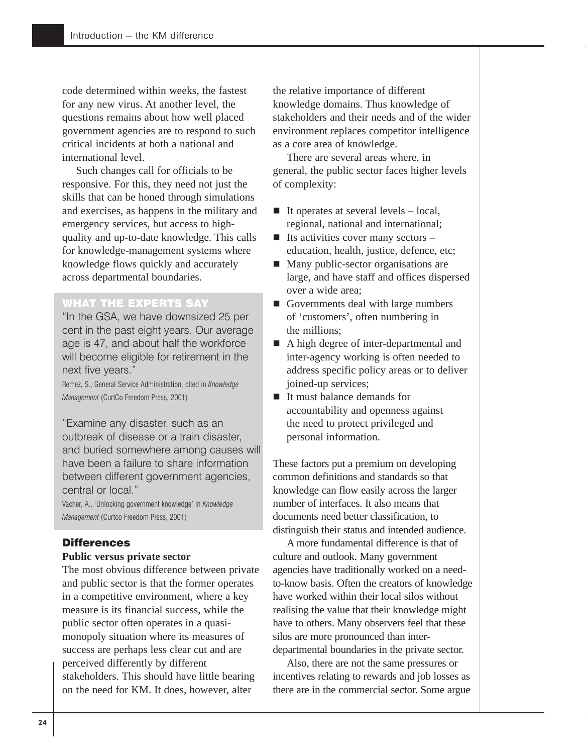code determined within weeks, the fastest for any new virus. At another level, the questions remains about how well placed government agencies are to respond to such critical incidents at both a national and international level.

Such changes call for officials to be responsive. For this, they need not just the skills that can be honed through simulations and exercises, as happens in the military and emergency services, but access to highquality and up-to-date knowledge. This calls for knowledge-management systems where knowledge flows quickly and accurately across departmental boundaries.

## WHAT THE EXPERTS SAY

"In the GSA, we have downsized 25 per cent in the past eight years. Our average age is 47, and about half the workforce will become eligible for retirement in the next five years."

Remez, S., General Service Administration, cited in *Knowledge Management* (CurtCo Freedom Press, 2001)

"Examine any disaster, such as an outbreak of disease or a train disaster, and buried somewhere among causes will have been a failure to share information between different government agencies, central or local."

Vacher, A., 'Unlocking government knowledge' in *Knowledge Management* (Curtco Freedom Press, 2001)

### **Differences**

#### **Public versus private sector**

The most obvious difference between private and public sector is that the former operates in a competitive environment, where a key measure is its financial success, while the public sector often operates in a quasimonopoly situation where its measures of success are perhaps less clear cut and are perceived differently by different stakeholders. This should have little bearing on the need for KM. It does, however, alter

the relative importance of different knowledge domains. Thus knowledge of stakeholders and their needs and of the wider environment replaces competitor intelligence as a core area of knowledge.

There are several areas where, in general, the public sector faces higher levels of complexity:

- $\blacksquare$  It operates at several levels local, regional, national and international;
- $\blacksquare$  Its activities cover many sectors education, health, justice, defence, etc;
- **Many public-sector organisations are** large, and have staff and offices dispersed over a wide area;
- Governments deal with large numbers of 'customers', often numbering in the millions;
- A high degree of inter-departmental and inter-agency working is often needed to address specific policy areas or to deliver joined-up services;
- It must balance demands for accountability and openness against the need to protect privileged and personal information.

These factors put a premium on developing common definitions and standards so that knowledge can flow easily across the larger number of interfaces. It also means that documents need better classification, to distinguish their status and intended audience.

A more fundamental difference is that of culture and outlook. Many government agencies have traditionally worked on a needto-know basis. Often the creators of knowledge have worked within their local silos without realising the value that their knowledge might have to others. Many observers feel that these silos are more pronounced than interdepartmental boundaries in the private sector.

Also, there are not the same pressures or incentives relating to rewards and job losses as there are in the commercial sector. Some argue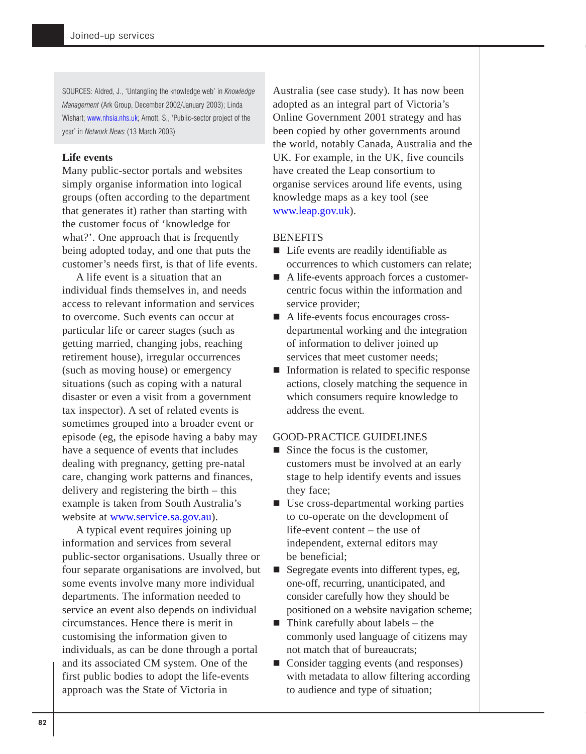SOURCES: Aldred, J., 'Untangling the knowledge web' in *Knowledge Management* (Ark Group, December 2002/January 2003); Linda Wishart; [www.nhsia.nhs.uk;](http://www.nhs.uk) Arnott, S., 'Public-sector project of the year' in *Network News* (13 March 2003)

### **Life events**

Many public-sector portals and websites simply organise information into logical groups (often according to the department that generates it) rather than starting with the customer focus of 'knowledge for what?'. One approach that is frequently being adopted today, and one that puts the customer's needs first, is that of life events.

A life event is a situation that an individual finds themselves in, and needs access to relevant information and services to overcome. Such events can occur at particular life or career stages (such as getting married, changing jobs, reaching retirement house), irregular occurrences (such as moving house) or emergency situations (such as coping with a natural disaster or even a visit from a government tax inspector). A set of related events is sometimes grouped into a broader event or episode (eg, the episode having a baby may have a sequence of events that includes dealing with pregnancy, getting pre-natal care, changing work patterns and finances, delivery and registering the birth – this example is taken from South Australia's website at [www.service.sa.gov.au\)](http://www.service.sa.gov.au).

A typical event requires joining up information and services from several public-sector organisations. Usually three or four separate organisations are involved, but some events involve many more individual departments. The information needed to service an event also depends on individual circumstances. Hence there is merit in customising the information given to individuals, as can be done through a portal and its associated CM system. One of the first public bodies to adopt the life-events approach was the State of Victoria in

Australia (see case study). It has now been adopted as an integral part of Victoria's Online Government 2001 strategy and has been copied by other governments around the world, notably Canada, Australia and the UK. For example, in the UK, five councils have created the Leap consortium to organise services around life events, using knowledge maps as a key tool (see [www.leap.gov.uk](http://www.leap.gov.uk)).

#### **BENEFITS**

- Life events are readily identifiable as occurrences to which customers can relate;
- A life-events approach forces a customercentric focus within the information and service provider;
- A life-events focus encourages crossdepartmental working and the integration of information to deliver joined up services that meet customer needs;
- $\blacksquare$  Information is related to specific response actions, closely matching the sequence in which consumers require knowledge to address the event.

## GOOD-PRACTICE GUIDELINES

- $\blacksquare$  Since the focus is the customer, customers must be involved at an early stage to help identify events and issues they face;
- Use cross-departmental working parties to co-operate on the development of life-event content – the use of independent, external editors may be beneficial;
- Segregate events into different types, eg, one-off, recurring, unanticipated, and consider carefully how they should be positioned on a website navigation scheme;
- $\blacksquare$  Think carefully about labels the commonly used language of citizens may not match that of bureaucrats;
- Consider tagging events (and responses) with metadata to allow filtering according to audience and type of situation;